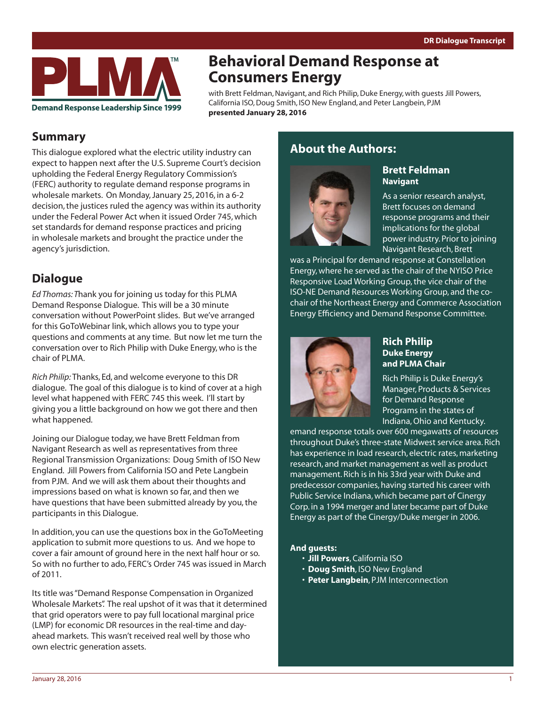

# **Behavioral Demand Response at Consumers Energy**

with Brett Feldman, Navigant, and Rich Philip, Duke Energy, with guests Jill Powers, California ISO, Doug Smith, ISO New England, and Peter Langbein, PJM **presented January 28, 2016**

## **Summary**

This dialogue explored what the electric utility industry can expect to happen next after the U.S. Supreme Court's decision upholding the Federal Energy Regulatory Commission's (FERC) authority to regulate demand response programs in wholesale markets. On Monday, January 25, 2016, in a 6-2 decision, the justices ruled the agency was within its authority under the Federal Power Act when it issued Order 745, which set standards for demand response practices and pricing in wholesale markets and brought the practice under the agency's jurisdiction.

## **Dialogue**

*Ed Thomas: T*hank you for joining us today for this PLMA Demand Response Dialogue. This will be a 30 minute conversation without PowerPoint slides. But we've arranged for this GoToWebinar link, which allows you to type your questions and comments at any time. But now let me turn the conversation over to Rich Philip with Duke Energy, who is the chair of PLMA.

*Rich Philip:* Thanks, Ed, and welcome everyone to this DR dialogue. The goal of this dialogue is to kind of cover at a high level what happened with FERC 745 this week. I'll start by giving you a little background on how we got there and then what happened.

Joining our Dialogue today, we have Brett Feldman from Navigant Research as well as representatives from three Regional Transmission Organizations: Doug Smith of ISO New England. Jill Powers from California ISO and Pete Langbein from PJM. And we will ask them about their thoughts and impressions based on what is known so far, and then we have questions that have been submitted already by you, the participants in this Dialogue.

In addition, you can use the questions box in the GoToMeeting application to submit more questions to us. And we hope to cover a fair amount of ground here in the next half hour or so. So with no further to ado, FERC's Order 745 was issued in March of 2011.

Its title was "Demand Response Compensation in Organized Wholesale Markets". The real upshot of it was that it determined that grid operators were to pay full locational marginal price (LMP) for economic DR resources in the real-time and dayahead markets. This wasn't received real well by those who own electric generation assets.

## **About the Authors:**



### **Brett Feldman Navigant**

As a senior research analyst, Brett focuses on demand response programs and their implications for the global power industry. Prior to joining Navigant Research, Brett

was a Principal for demand response at Constellation Energy, where he served as the chair of the NYISO Price Responsive Load Working Group, the vice chair of the ISO-NE Demand Resources Working Group, and the cochair of the Northeast Energy and Commerce Association Energy Efficiency and Demand Response Committee.



### **Rich Philip Duke Energy and PLMA Chair**

Rich Philip is Duke Energy's Manager, Products & Services for Demand Response Programs in the states of Indiana, Ohio and Kentucky.

emand response totals over 600 megawatts of resources throughout Duke's three-state Midwest service area. Rich has experience in load research, electric rates, marketing research, and market management as well as product management. Rich is in his 33rd year with Duke and predecessor companies, having started his career with Public Service Indiana, which became part of Cinergy Corp. in a 1994 merger and later became part of Duke Energy as part of the Cinergy/Duke merger in 2006.

### **And guests:**

- • **Jill Powers**, California ISO
- • **Doug Smith**, ISO New England
- • **Peter Langbein**, PJM Interconnection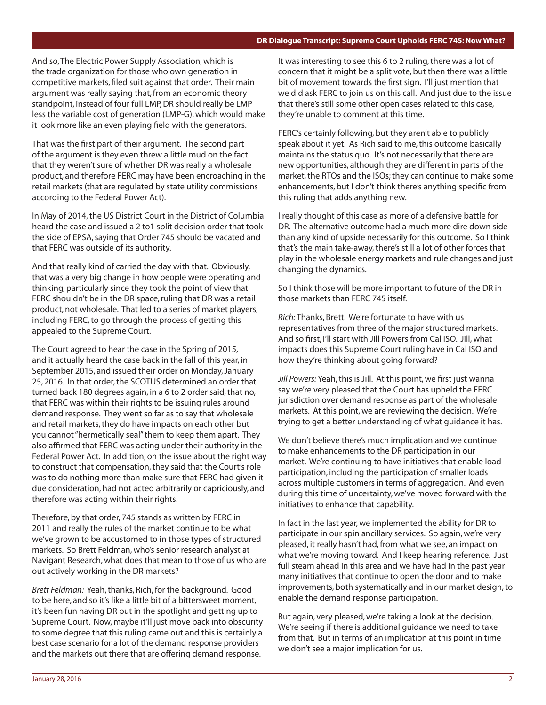#### **DR Dialogue Transcript: Supreme Court Upholds FERC 745: Now What?**

And so, The Electric Power Supply Association, which is the trade organization for those who own generation in competitive markets, filed suit against that order. Their main argument was really saying that, from an economic theory standpoint, instead of four full LMP, DR should really be LMP less the variable cost of generation (LMP-G), which would make it look more like an even playing field with the generators.

That was the first part of their argument. The second part of the argument is they even threw a little mud on the fact that they weren't sure of whether DR was really a wholesale product, and therefore FERC may have been encroaching in the retail markets (that are regulated by state utility commissions according to the Federal Power Act).

In May of 2014, the US District Court in the District of Columbia heard the case and issued a 2 to1 split decision order that took the side of EPSA, saying that Order 745 should be vacated and that FERC was outside of its authority.

And that really kind of carried the day with that. Obviously, that was a very big change in how people were operating and thinking, particularly since they took the point of view that FERC shouldn't be in the DR space, ruling that DR was a retail product, not wholesale. That led to a series of market players, including FERC, to go through the process of getting this appealed to the Supreme Court.

The Court agreed to hear the case in the Spring of 2015, and it actually heard the case back in the fall of this year, in September 2015, and issued their order on Monday, January 25, 2016. In that order, the SCOTUS determined an order that turned back 180 degrees again, in a 6 to 2 order said, that no, that FERC was within their rights to be issuing rules around demand response. They went so far as to say that wholesale and retail markets, they do have impacts on each other but you cannot "hermetically seal" them to keep them apart. They also affirmed that FERC was acting under their authority in the Federal Power Act. In addition, on the issue about the right way to construct that compensation, they said that the Court's role was to do nothing more than make sure that FERC had given it due consideration, had not acted arbitrarily or capriciously, and therefore was acting within their rights.

Therefore, by that order, 745 stands as written by FERC in 2011 and really the rules of the market continue to be what we've grown to be accustomed to in those types of structured markets. So Brett Feldman, who's senior research analyst at Navigant Research, what does that mean to those of us who are out actively working in the DR markets?

*Brett Feldman:* Yeah, thanks, Rich, for the background. Good to be here, and so it's like a little bit of a bittersweet moment, it's been fun having DR put in the spotlight and getting up to Supreme Court. Now, maybe it'll just move back into obscurity to some degree that this ruling came out and this is certainly a best case scenario for a lot of the demand response providers and the markets out there that are offering demand response.

It was interesting to see this 6 to 2 ruling, there was a lot of concern that it might be a split vote, but then there was a little bit of movement towards the first sign. I'll just mention that we did ask FERC to join us on this call. And just due to the issue that there's still some other open cases related to this case, they're unable to comment at this time.

FERC's certainly following, but they aren't able to publicly speak about it yet. As Rich said to me, this outcome basically maintains the status quo. It's not necessarily that there are new opportunities, although they are different in parts of the market, the RTOs and the ISOs; they can continue to make some enhancements, but I don't think there's anything specific from this ruling that adds anything new.

I really thought of this case as more of a defensive battle for DR. The alternative outcome had a much more dire down side than any kind of upside necessarily for this outcome. So I think that's the main take-away, there's still a lot of other forces that play in the wholesale energy markets and rule changes and just changing the dynamics.

So I think those will be more important to future of the DR in those markets than FERC 745 itself.

*Rich:* Thanks, Brett. We're fortunate to have with us representatives from three of the major structured markets. And so first, I'll start with Jill Powers from Cal ISO. Jill, what impacts does this Supreme Court ruling have in Cal ISO and how they're thinking about going forward?

*Jill Powers:* Yeah, this is Jill. At this point, we first just wanna say we're very pleased that the Court has upheld the FERC jurisdiction over demand response as part of the wholesale markets. At this point, we are reviewing the decision. We're trying to get a better understanding of what guidance it has.

We don't believe there's much implication and we continue to make enhancements to the DR participation in our market. We're continuing to have initiatives that enable load participation, including the participation of smaller loads across multiple customers in terms of aggregation. And even during this time of uncertainty, we've moved forward with the initiatives to enhance that capability.

In fact in the last year, we implemented the ability for DR to participate in our spin ancillary services. So again, we're very pleased, it really hasn't had, from what we see, an impact on what we're moving toward. And I keep hearing reference. Just full steam ahead in this area and we have had in the past year many initiatives that continue to open the door and to make improvements, both systematically and in our market design, to enable the demand response participation.

But again, very pleased, we're taking a look at the decision. We're seeing if there is additional guidance we need to take from that. But in terms of an implication at this point in time we don't see a major implication for us.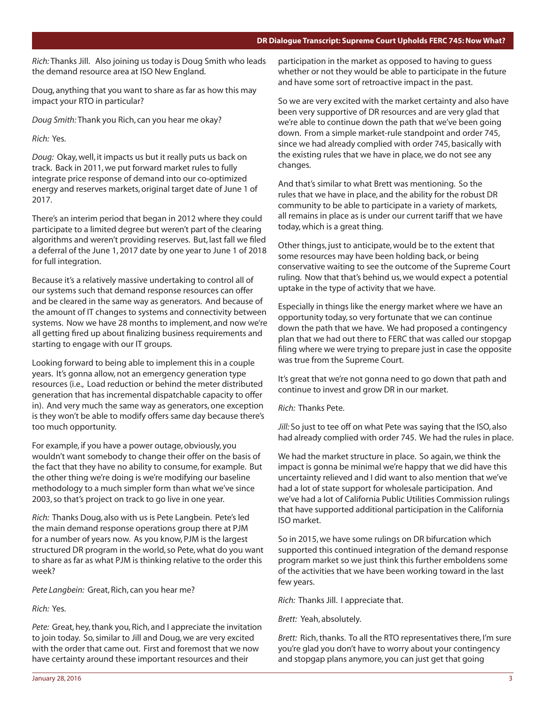*Rich:* Thanks Jill. Also joining us today is Doug Smith who leads the demand resource area at ISO New England.

Doug, anything that you want to share as far as how this may impact your RTO in particular?

*Doug Smith:* Thank you Rich, can you hear me okay?

*Rich:* Yes.

*Doug:* Okay, well, it impacts us but it really puts us back on track. Back in 2011, we put forward market rules to fully integrate price response of demand into our co-optimized energy and reserves markets, original target date of June 1 of 2017.

There's an interim period that began in 2012 where they could participate to a limited degree but weren't part of the clearing algorithms and weren't providing reserves. But, last fall we filed a deferral of the June 1, 2017 date by one year to June 1 of 2018 for full integration.

Because it's a relatively massive undertaking to control all of our systems such that demand response resources can offer and be cleared in the same way as generators. And because of the amount of IT changes to systems and connectivity between systems. Now we have 28 months to implement, and now we're all getting fired up about finalizing business requirements and starting to engage with our IT groups.

Looking forward to being able to implement this in a couple years. It's gonna allow, not an emergency generation type resources (i.e., Load reduction or behind the meter distributed generation that has incremental dispatchable capacity to offer in). And very much the same way as generators, one exception is they won't be able to modify offers same day because there's too much opportunity.

For example, if you have a power outage, obviously, you wouldn't want somebody to change their offer on the basis of the fact that they have no ability to consume, for example. But the other thing we're doing is we're modifying our baseline methodology to a much simpler form than what we've since 2003, so that's project on track to go live in one year.

*Rich:* Thanks Doug, also with us is Pete Langbein. Pete's led the main demand response operations group there at PJM for a number of years now. As you know, PJM is the largest structured DR program in the world, so Pete, what do you want to share as far as what PJM is thinking relative to the order this week?

*Pete Langbein:* Great, Rich, can you hear me?

*Rich:* Yes.

*Pete:* Great, hey, thank you, Rich, and I appreciate the invitation to join today. So, similar to Jill and Doug, we are very excited with the order that came out. First and foremost that we now have certainty around these important resources and their

participation in the market as opposed to having to guess whether or not they would be able to participate in the future and have some sort of retroactive impact in the past.

So we are very excited with the market certainty and also have been very supportive of DR resources and are very glad that we're able to continue down the path that we've been going down. From a simple market-rule standpoint and order 745, since we had already complied with order 745, basically with the existing rules that we have in place, we do not see any changes.

And that's similar to what Brett was mentioning. So the rules that we have in place, and the ability for the robust DR community to be able to participate in a variety of markets, all remains in place as is under our current tariff that we have today, which is a great thing.

Other things, just to anticipate, would be to the extent that some resources may have been holding back, or being conservative waiting to see the outcome of the Supreme Court ruling. Now that that's behind us, we would expect a potential uptake in the type of activity that we have.

Especially in things like the energy market where we have an opportunity today, so very fortunate that we can continue down the path that we have. We had proposed a contingency plan that we had out there to FERC that was called our stopgap filing where we were trying to prepare just in case the opposite was true from the Supreme Court.

It's great that we're not gonna need to go down that path and continue to invest and grow DR in our market.

*Rich:* Thanks Pete.

*Jill:* So just to tee off on what Pete was saying that the ISO, also had already complied with order 745. We had the rules in place.

We had the market structure in place. So again, we think the impact is gonna be minimal we're happy that we did have this uncertainty relieved and I did want to also mention that we've had a lot of state support for wholesale participation. And we've had a lot of California Public Utilities Commission rulings that have supported additional participation in the California ISO market.

So in 2015, we have some rulings on DR bifurcation which supported this continued integration of the demand response program market so we just think this further emboldens some of the activities that we have been working toward in the last few years.

*Rich:* Thanks Jill. I appreciate that.

*Brett:* Yeah, absolutely.

*Brett:* Rich, thanks. To all the RTO representatives there, I'm sure you're glad you don't have to worry about your contingency and stopgap plans anymore, you can just get that going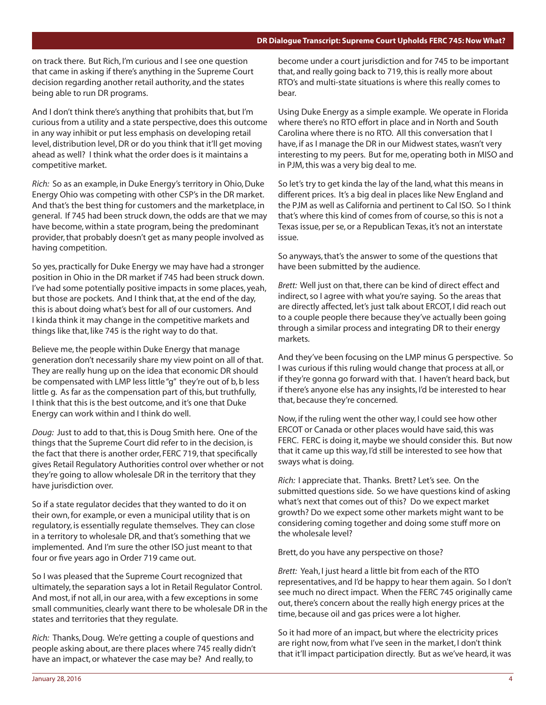on track there. But Rich, I'm curious and I see one question that came in asking if there's anything in the Supreme Court decision regarding another retail authority, and the states being able to run DR programs.

And I don't think there's anything that prohibits that, but I'm curious from a utility and a state perspective, does this outcome in any way inhibit or put less emphasis on developing retail level, distribution level, DR or do you think that it'll get moving ahead as well? I think what the order does is it maintains a competitive market.

*Rich:* So as an example, in Duke Energy's territory in Ohio, Duke Energy Ohio was competing with other CSP's in the DR market. And that's the best thing for customers and the marketplace, in general. If 745 had been struck down, the odds are that we may have become, within a state program, being the predominant provider, that probably doesn't get as many people involved as having competition.

So yes, practically for Duke Energy we may have had a stronger position in Ohio in the DR market if 745 had been struck down. I've had some potentially positive impacts in some places, yeah, but those are pockets. And I think that, at the end of the day, this is about doing what's best for all of our customers. And I kinda think it may change in the competitive markets and things like that, like 745 is the right way to do that.

Believe me, the people within Duke Energy that manage generation don't necessarily share my view point on all of that. They are really hung up on the idea that economic DR should be compensated with LMP less little "g" they're out of b, b less little g. As far as the compensation part of this, but truthfully, I think that this is the best outcome, and it's one that Duke Energy can work within and I think do well.

*Doug:* Just to add to that, this is Doug Smith here. One of the things that the Supreme Court did refer to in the decision, is the fact that there is another order, FERC 719, that specifically gives Retail Regulatory Authorities control over whether or not they're going to allow wholesale DR in the territory that they have jurisdiction over.

So if a state regulator decides that they wanted to do it on their own, for example, or even a municipal utility that is on regulatory, is essentially regulate themselves. They can close in a territory to wholesale DR, and that's something that we implemented. And I'm sure the other ISO just meant to that four or five years ago in Order 719 came out.

So I was pleased that the Supreme Court recognized that ultimately, the separation says a lot in Retail Regulator Control. And most, if not all, in our area, with a few exceptions in some small communities, clearly want there to be wholesale DR in the states and territories that they regulate.

*Rich:* Thanks, Doug. We're getting a couple of questions and people asking about, are there places where 745 really didn't have an impact, or whatever the case may be? And really, to

become under a court jurisdiction and for 745 to be important that, and really going back to 719, this is really more about RTO's and multi-state situations is where this really comes to bear.

Using Duke Energy as a simple example. We operate in Florida where there's no RTO effort in place and in North and South Carolina where there is no RTO. All this conversation that I have, if as I manage the DR in our Midwest states, wasn't very interesting to my peers. But for me, operating both in MISO and in PJM, this was a very big deal to me.

So let's try to get kinda the lay of the land, what this means in different prices. It's a big deal in places like New England and the PJM as well as California and pertinent to Cal ISO. So I think that's where this kind of comes from of course, so this is not a Texas issue, per se, or a Republican Texas, it's not an interstate issue.

So anyways, that's the answer to some of the questions that have been submitted by the audience.

*Brett:* Well just on that, there can be kind of direct effect and indirect, so I agree with what you're saying. So the areas that are directly affected, let's just talk about ERCOT, I did reach out to a couple people there because they've actually been going through a similar process and integrating DR to their energy markets.

And they've been focusing on the LMP minus G perspective. So I was curious if this ruling would change that process at all, or if they're gonna go forward with that. I haven't heard back, but if there's anyone else has any insights, I'd be interested to hear that, because they're concerned.

Now, if the ruling went the other way, I could see how other ERCOT or Canada or other places would have said, this was FERC. FERC is doing it, maybe we should consider this. But now that it came up this way, I'd still be interested to see how that sways what is doing.

*Rich:* I appreciate that. Thanks. Brett? Let's see. On the submitted questions side. So we have questions kind of asking what's next that comes out of this? Do we expect market growth? Do we expect some other markets might want to be considering coming together and doing some stuff more on the wholesale level?

Brett, do you have any perspective on those?

*Brett:* Yeah, I just heard a little bit from each of the RTO representatives, and I'd be happy to hear them again. So I don't see much no direct impact. When the FERC 745 originally came out, there's concern about the really high energy prices at the time, because oil and gas prices were a lot higher.

So it had more of an impact, but where the electricity prices are right now, from what I've seen in the market, I don't think that it'll impact participation directly. But as we've heard, it was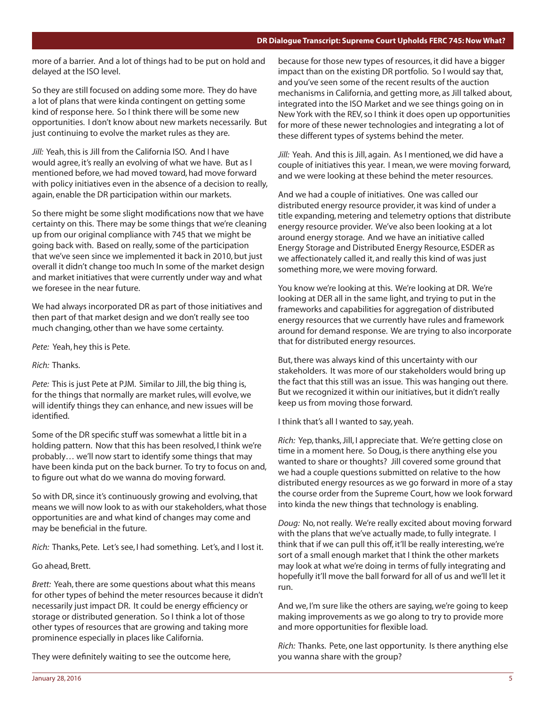#### **DR Dialogue Transcript: Supreme Court Upholds FERC 745: Now What?**

more of a barrier. And a lot of things had to be put on hold and delayed at the ISO level.

So they are still focused on adding some more. They do have a lot of plans that were kinda contingent on getting some kind of response here. So I think there will be some new opportunities. I don't know about new markets necessarily. But just continuing to evolve the market rules as they are.

*Jill:* Yeah, this is Jill from the California ISO. And I have would agree, it's really an evolving of what we have. But as I mentioned before, we had moved toward, had move forward with policy initiatives even in the absence of a decision to really, again, enable the DR participation within our markets.

So there might be some slight modifications now that we have certainty on this. There may be some things that we're cleaning up from our original compliance with 745 that we might be going back with. Based on really, some of the participation that we've seen since we implemented it back in 2010, but just overall it didn't change too much In some of the market design and market initiatives that were currently under way and what we foresee in the near future.

We had always incorporated DR as part of those initiatives and then part of that market design and we don't really see too much changing, other than we have some certainty.

*Pete:* Yeah, hey this is Pete.

*Rich:* Thanks.

*Pete:* This is just Pete at PJM. Similar to Jill, the big thing is, for the things that normally are market rules, will evolve, we will identify things they can enhance, and new issues will be identified.

Some of the DR specific stuff was somewhat a little bit in a holding pattern. Now that this has been resolved, I think we're probably… we'll now start to identify some things that may have been kinda put on the back burner. To try to focus on and, to figure out what do we wanna do moving forward.

So with DR, since it's continuously growing and evolving, that means we will now look to as with our stakeholders, what those opportunities are and what kind of changes may come and may be beneficial in the future.

*Rich:* Thanks, Pete. Let's see, I had something. Let's, and I lost it.

Go ahead, Brett.

*Brett:* Yeah, there are some questions about what this means for other types of behind the meter resources because it didn't necessarily just impact DR. It could be energy efficiency or storage or distributed generation. So I think a lot of those other types of resources that are growing and taking more prominence especially in places like California.

They were definitely waiting to see the outcome here,

because for those new types of resources, it did have a bigger impact than on the existing DR portfolio. So I would say that, and you've seen some of the recent results of the auction mechanisms in California, and getting more, as Jill talked about, integrated into the ISO Market and we see things going on in New York with the REV, so I think it does open up opportunities for more of these newer technologies and integrating a lot of these different types of systems behind the meter.

*Jill:* Yeah. And this is Jill, again. As I mentioned, we did have a couple of initiatives this year. I mean, we were moving forward, and we were looking at these behind the meter resources.

And we had a couple of initiatives. One was called our distributed energy resource provider, it was kind of under a title expanding, metering and telemetry options that distribute energy resource provider. We've also been looking at a lot around energy storage. And we have an initiative called Energy Storage and Distributed Energy Resource, ESDER as we affectionately called it, and really this kind of was just something more, we were moving forward.

You know we're looking at this. We're looking at DR. We're looking at DER all in the same light, and trying to put in the frameworks and capabilities for aggregation of distributed energy resources that we currently have rules and framework around for demand response. We are trying to also incorporate that for distributed energy resources.

But, there was always kind of this uncertainty with our stakeholders. It was more of our stakeholders would bring up the fact that this still was an issue. This was hanging out there. But we recognized it within our initiatives, but it didn't really keep us from moving those forward.

I think that's all I wanted to say, yeah.

*Rich:* Yep, thanks, Jill, I appreciate that. We're getting close on time in a moment here. So Doug, is there anything else you wanted to share or thoughts? Jill covered some ground that we had a couple questions submitted on relative to the how distributed energy resources as we go forward in more of a stay the course order from the Supreme Court, how we look forward into kinda the new things that technology is enabling.

*Doug:* No, not really. We're really excited about moving forward with the plans that we've actually made, to fully integrate. I think that if we can pull this off, it'll be really interesting, we're sort of a small enough market that I think the other markets may look at what we're doing in terms of fully integrating and hopefully it'll move the ball forward for all of us and we'll let it run.

And we, I'm sure like the others are saying, we're going to keep making improvements as we go along to try to provide more and more opportunities for flexible load.

*Rich:* Thanks. Pete, one last opportunity. Is there anything else you wanna share with the group?